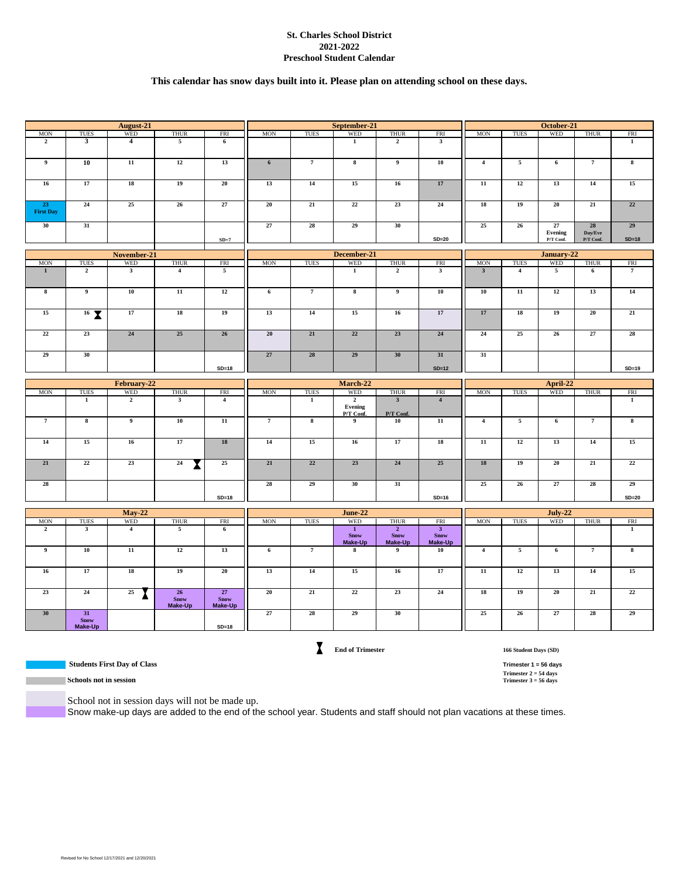#### **St. Charles School District 2021-2022 Preschool Student Calendar**

## **This calendar has snow days built into it. Please plan on attending school on these days.**

|                              |                                 | August-21                    |                              |                              |                |                         | September-21                       |                                              |                                             |                         |                          | October-21      |                 |                         |  |
|------------------------------|---------------------------------|------------------------------|------------------------------|------------------------------|----------------|-------------------------|------------------------------------|----------------------------------------------|---------------------------------------------|-------------------------|--------------------------|-----------------|-----------------|-------------------------|--|
| <b>MON</b>                   | TUES                            | <b>WED</b>                   | <b>THUR</b>                  | <b>FRI</b>                   | <b>MON</b>     | <b>TUES</b>             | <b>WED</b>                         | <b>THUR</b>                                  | <b>FRI</b>                                  | <b>MON</b>              | <b>TUES</b>              | WED             | <b>THUR</b>     | <b>FRI</b>              |  |
| $\overline{2}$               | $\mathbf{3}$                    | $\overline{4}$               | 5                            | 6                            |                |                         | 1                                  | $\overline{2}$                               | 3                                           |                         |                          |                 |                 | 1                       |  |
| $\overline{9}$               | 10                              | 11                           | 12                           | 13                           | $6\phantom{.}$ | $\overline{7}$          | $\overline{\mathbf{8}}$            | $\overline{9}$                               | 10                                          | $\overline{4}$          | $\overline{5}$           | 6               | $\overline{7}$  | 8                       |  |
| 16                           | 17                              | 18                           | 19                           | 20                           | 13             | 14                      | 15                                 | 16                                           | 17                                          | 11                      | 12                       | 13              | 14              | 15                      |  |
| 23<br><b>First Day</b>       | 24                              | 25                           | 26                           | 27                           | 20             | $\overline{21}$         | 22                                 | 23                                           | 24                                          | 18                      | 19                       | 20              | 21              | 22                      |  |
| 30                           | 31                              |                              |                              |                              | 27             | 28                      | 29                                 | 30                                           |                                             | 25                      | 26                       | 27<br>Evening   | 28<br>Day/Eve   | 29                      |  |
|                              |                                 |                              |                              | $SD=7$                       |                |                         |                                    |                                              | $SD=20$                                     |                         |                          | P/T Conf.       | P/T Conf.       | $SD=18$                 |  |
|                              |                                 | November-21                  |                              |                              |                |                         | December-21                        |                                              |                                             |                         |                          | January-22      |                 |                         |  |
| <b>MON</b>                   | TUES                            | <b>WED</b>                   | <b>THUR</b>                  | <b>FRI</b>                   | <b>MON</b>     | <b>TUES</b>             | <b>WED</b>                         | <b>THUR</b>                                  | <b>FRI</b>                                  | <b>MON</b>              | TUES                     | WED             | <b>THUR</b>     | FRI                     |  |
| $\mathbf{1}$                 | $\overline{2}$                  | $\overline{\mathbf{3}}$      | $\overline{4}$               | $\overline{5}$               |                |                         | $\overline{1}$                     | $\overline{2}$                               | $\overline{\mathbf{3}}$                     | $\overline{\mathbf{3}}$ | $\overline{4}$           | $\overline{5}$  | $6\overline{6}$ | $\overline{7}$          |  |
| $\bf{8}$                     | $\overline{9}$                  | 10                           | $\overline{11}$              | 12                           | 6              | $\overline{7}$          | $\overline{\mathbf{8}}$            | $\overline{9}$                               | 10                                          | 10                      | $\overline{11}$          | 12              | 13              | 14                      |  |
| 15                           | $16$ $\overline{X}$             | 17                           | 18                           | 19                           | 13             | 14                      | 15                                 | 16                                           | 17                                          | 17                      | 18                       | 19              | 20              | 21                      |  |
| 22                           | 23                              | 24                           | 25                           | 26                           | 20             | 21                      | 22                                 | 23                                           | 24                                          | 24                      | 25                       | 26              | 27              | 28                      |  |
| 29                           | 30                              |                              |                              |                              | 27             | ${\bf 28}$              | 29                                 | 30                                           | 31                                          | 31                      |                          |                 |                 |                         |  |
|                              |                                 |                              |                              | $SD=18$                      |                |                         |                                    |                                              | $SD=12$                                     |                         |                          |                 |                 | $SD=19$                 |  |
|                              |                                 | February-22                  |                              |                              | March-22       |                         |                                    |                                              | April-22                                    |                         |                          |                 |                 |                         |  |
| <b>MON</b>                   | <b>TUES</b>                     | <b>WED</b>                   | <b>THUR</b>                  | <b>FRI</b>                   | <b>MON</b>     | <b>TUES</b>             | <b>WED</b>                         | <b>THUR</b>                                  | <b>FRI</b>                                  | <b>MON</b>              | <b>TUES</b>              | <b>WED</b>      | <b>THUR</b>     | FRI                     |  |
|                              | $\overline{1}$                  | $\overline{2}$               | $\overline{\mathbf{3}}$      | $\overline{4}$               |                | $\mathbf{1}$            | $\overline{2}$<br>Evening          | $\overline{\mathbf{3}}$                      | $\overline{4}$                              |                         |                          |                 |                 | $\overline{1}$          |  |
|                              |                                 |                              |                              |                              |                |                         | P/T Conf.                          | P/T Conf.                                    |                                             |                         |                          |                 |                 |                         |  |
| $\overline{7}$               | $\overline{\mathbf{8}}$         | $\overline{9}$               | 10                           | $\overline{11}$              | $\overline{7}$ | $\overline{\mathbf{8}}$ | $\overline{9}$                     | 10                                           | $\overline{11}$                             | $\overline{4}$          | $\overline{\phantom{a}}$ | $\overline{6}$  | $\overline{7}$  | $\overline{\mathbf{8}}$ |  |
| 14                           | 15                              | 16                           | 17                           | 18                           | 14             | 15                      | 16                                 | 17                                           | 18                                          | $\overline{11}$         | 12                       | 13              | $\overline{14}$ | 15                      |  |
| 21                           | 22                              | 23                           | 24<br>X                      | 25                           | 21             | 22                      | 23                                 | 24                                           | 25                                          | 18                      | 19                       | 20              | 21              | 22                      |  |
| 28                           |                                 |                              |                              |                              | 28             | 29                      | 30                                 | 31                                           |                                             | 25                      | 26                       | 27              | 28              | 29                      |  |
|                              |                                 |                              |                              | $SD=18$                      |                |                         |                                    |                                              | $SD=16$                                     |                         |                          |                 |                 | $SD=20$                 |  |
|                              |                                 |                              |                              |                              |                |                         |                                    |                                              |                                             |                         |                          |                 |                 |                         |  |
|                              |                                 |                              |                              |                              |                |                         |                                    |                                              |                                             |                         |                          |                 |                 |                         |  |
|                              |                                 | $May-22$                     |                              |                              |                |                         | <b>June-22</b>                     |                                              |                                             |                         |                          | <b>July-22</b>  |                 |                         |  |
| <b>MON</b><br>$\overline{2}$ | TUES<br>$\overline{\mathbf{3}}$ | <b>WED</b><br>$\overline{4}$ | <b>THUR</b><br>5             | <b>FRI</b><br>6              | <b>MON</b>     | <b>TUES</b>             | WED<br>$\mathbf{1}$<br><b>Snow</b> | <b>THUR</b><br>$\overline{2}$<br><b>Snow</b> | <b>FRI</b><br>$\overline{3}$<br><b>Snow</b> | <b>MON</b>              | TUES                     | WED             | <b>THUR</b>     | FRI<br>$\mathbf{1}$     |  |
| $\overline{9}$               | 10                              | 11                           | 12                           | 13                           | 6              | $\overline{7}$          | Make-Up<br>8                       | Make-Up<br>$\overline{9}$                    | Make-Up<br>10                               | $\overline{4}$          | $\overline{5}$           | 6               | $\overline{7}$  | 8                       |  |
| 16                           | 17                              | 18                           | 19                           | 20                           | 13             | 14                      | 15                                 | 16                                           | 17                                          | 11                      | $\overline{12}$          | $\overline{13}$ | 14              | 15                      |  |
|                              |                                 |                              |                              |                              |                |                         |                                    |                                              |                                             |                         |                          |                 |                 |                         |  |
| 23                           | 24                              | 25                           | 26<br><b>Snow</b><br>Make-Up | 27<br><b>Snow</b><br>Make-Up | 20             | 21                      | 22                                 | 23                                           | 24                                          | 18                      | 19                       | 20              | 21              | 22                      |  |
| 30                           | 31<br><b>Snow</b><br>Make-Up    |                              |                              | $SD=18$                      | 27             | 28                      | 29                                 | 30                                           |                                             | 25                      | 26                       | 27              | 28              | 29                      |  |

 **Students First Day of Class Trimester 1 = 56 days**

**End of Trimester**

**166 Student Days (SD)**

**Trimester 2 = 54 days**<br>**Trimester 3 = 56 days** 

**Schools not in session** 

**Contract Contract** 

School not in session days will not be made up.

Snow make-up days are added to the end of the school year. Students and staff should not plan vacations at these times.